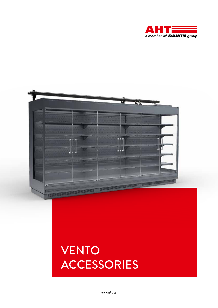



## VENTO ACCESSORIES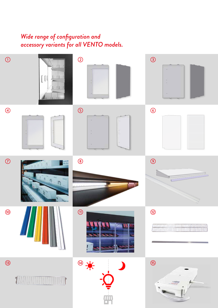## *Wide range of configuration and accessory variants for all VENTO models.*

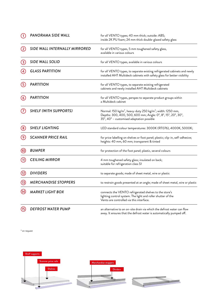|                   | PANORAMA SIDE WALL            | for all VENTO types; 40 mm thick; outside: ABS;<br>inside 2K PU foam; 24 mm thick double-glazed safety glass                                                                                    |
|-------------------|-------------------------------|-------------------------------------------------------------------------------------------------------------------------------------------------------------------------------------------------|
| $\left( 2\right)$ | SIDE WALL INTERNALLY MIRRORED | for all VENTO types, 5 mm toughened safety glass,<br>available in various colours                                                                                                               |
| (3)               | SIDE WALL SOLID               | for all VENTO types, available in various colours                                                                                                                                               |
|                   | <b>GLASS PARTITION</b>        | for all VENTO types, to separate existing refrigerated cabinets and newly<br>installed AHT Multideck cabinets with safety glass for better visibility                                           |
| (5)               | <b>PARTITION</b>              | for all VENTO types, to separate existing refrigerated<br>cabinets and newly installed AHT Multideck cabinets                                                                                   |
| (6)               | <b>PARTITION</b>              | for all VENTO types, perspex to separate product groups within<br>a Multideck cabinet                                                                                                           |
|                   | <b>SHELF (WITH SUPPORTS)</b>  | Normal: 150 kg/m <sup>2</sup> , heavy-duty 250 kg/m <sup>2</sup> ; width: 1250 mm,<br>Depths: 300, 400, 500, 600 mm; Angle: 0°, 8°, 15°, 20°, 30°,<br>35°, 40° - customised adaptation possible |
| $\left(8\right)$  | <b>SHELF LIGHTING</b>         | LED standard colour temperatures: 3000K (RT076), 4000K, 5000K;                                                                                                                                  |
|                   | <b>SCANNER PRICE RAIL</b>     | for price labelling on shelves or foot panel; plastic; clip-in, self-adhesive;<br>heights: 40 mm, 60 mm; transparent & tinted                                                                   |
| (10)              | <b>BUMPER</b>                 | for protection of the foot panel; plastic, several colours                                                                                                                                      |
| $\mathbf{11}$     | <b>CEILING MIRROR</b>         | 4 mm toughened safety glass; insulated on back;<br>suitable for refrigeration class S1                                                                                                          |
| (12)              | <b>DIVIDERS</b>               | to separate goods; made of sheet metal, wire or plastic                                                                                                                                         |
| (13)              | <b>MERCHANDISE STOPPERS</b>   | to restrain goods presented at an angle; made of sheet metal, wire or plastic                                                                                                                   |
|                   | <b>MARKET LIGHT BOX</b>       | connects the VENTO refrigerated shelves to the store's<br>lighting control system. The light and roller shutter of the<br>Vento are controlled via this interface.                              |
| ,15               | <b>DEFROST WATER PUMP</b>     | an alternative to an on-site drain via which the defrost water can flow<br>away. It ensures that the defrost water is automatically pumped off.                                                 |

\* on request